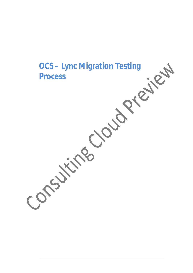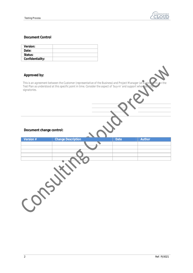![](_page_1_Picture_1.jpeg)

## **Document Control**

| <b>Version:</b>  |  |
|------------------|--|
| Date:            |  |
| Status:          |  |
| Confidentiality: |  |

## **Approved by:**

*This is an agreement between the Customer (representative of the Business) and Project Manager (at a minimum), on the Test Plan as understood at this specific point in time. Consider the aspect of 'buy-in' and support when identifying signatories.*

## **Document change control:**

| Version # | <b>Change Description</b> | <b>Date</b> | <b>Author</b> |  |
|-----------|---------------------------|-------------|---------------|--|
|           |                           |             |               |  |
|           |                           |             |               |  |
|           |                           |             |               |  |
|           |                           |             |               |  |
|           |                           |             |               |  |
|           |                           |             |               |  |
|           |                           |             |               |  |
|           |                           |             |               |  |
|           |                           |             |               |  |
|           |                           |             |               |  |
|           |                           |             |               |  |
|           |                           |             |               |  |
|           |                           |             |               |  |
|           |                           |             |               |  |
|           |                           |             |               |  |
|           |                           |             |               |  |
|           |                           |             |               |  |
|           |                           |             |               |  |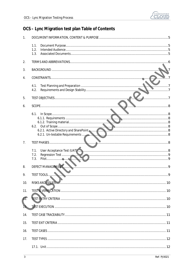![](_page_2_Picture_1.jpeg)

# OCS - Lync Migration test plan Table of Contents

| 1.  |                                                                           |  |
|-----|---------------------------------------------------------------------------|--|
|     | 1.1.                                                                      |  |
|     | 1.2.<br>1.3.                                                              |  |
| 2.  |                                                                           |  |
|     | . 6                                                                       |  |
| 3.  |                                                                           |  |
| 4.  |                                                                           |  |
|     | 4.1.<br>4.2.                                                              |  |
|     |                                                                           |  |
| 5.  |                                                                           |  |
| 6.  |                                                                           |  |
|     | 6.1.                                                                      |  |
|     |                                                                           |  |
|     | 6.2.                                                                      |  |
|     | 6.2.1. Active Directory and SharePoint<br>6.2.1. Un-testable Requirements |  |
|     |                                                                           |  |
| 7.  | لشيبيتها                                                                  |  |
|     | 7.1.                                                                      |  |
|     | 7.2.<br>7.3.                                                              |  |
| 8.  | DEFECT MANAGEMENT.                                                        |  |
| 9.  | TEST TOOLS                                                                |  |
|     |                                                                           |  |
| 10. |                                                                           |  |
| 11. |                                                                           |  |
| 12. |                                                                           |  |
|     |                                                                           |  |
| 14. |                                                                           |  |
| 15. |                                                                           |  |
| 16. |                                                                           |  |
| 17. |                                                                           |  |
|     |                                                                           |  |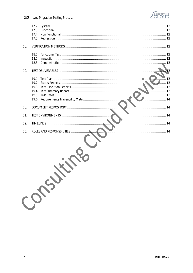![](_page_3_Picture_0.jpeg)

| 18. |          |  |
|-----|----------|--|
|     |          |  |
|     |          |  |
| 19. |          |  |
|     | 13<br>13 |  |
|     |          |  |
|     | 13       |  |
|     | . 13     |  |
|     | . 13     |  |
|     |          |  |
| 20. |          |  |
| 21. |          |  |
| 22. |          |  |
| 23. |          |  |
|     | Consumer |  |
|     |          |  |
|     |          |  |
|     |          |  |
|     |          |  |
|     |          |  |
|     |          |  |
|     |          |  |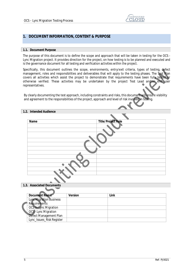![](_page_4_Picture_1.jpeg)

# **1. DOCUMENT INFORMATION, CONTENT & PURPOSE**

#### **1.1. Document Purpose**

The purpose of this document is to define the scope and approach that will be taken in testing for the OCS - Lync Migration project. It provides direction for the project, on how testing is to be planned and executed and is the governance document for all testing and verification activities within the project.

Specifically, this document outlines the scope, environments, entry/exit criteria, types of testing, defect management, roles and responsibilities and deliverables that will apply to the testing phases. The Test Plan covers all activities which assist the project to demonstrate that requirements have been fully tested or otherwise verified. These activities may be undertaken by the project Test Lead and/or end user representatives.

By clearly documenting the test approach, including constraints and risks, this document will ensure visibility and agreement to the responsibilities of the project, approach and level of risk involved in testing.

### **1.2. Intended Audience**

| <b>Name</b> | <b>Title/Project Role</b> |
|-------------|---------------------------|
|             |                           |
|             |                           |
|             |                           |
|             |                           |
|             |                           |
|             |                           |
|             |                           |
|             |                           |
|             |                           |
|             |                           |
|             |                           |
|             |                           |
|             |                           |

### **1.3. Associated Documents**

| <b>Document Name</b>           | <b>Version</b> | Link |
|--------------------------------|----------------|------|
| <b>Lync Migration Business</b> |                |      |
| Requirements                   |                |      |
| OCS to Lync Migration          |                |      |
| OCS - Lync Migration           |                |      |
| Defect Management Plan         |                |      |
| Lync_Issues_Risk Register      |                |      |